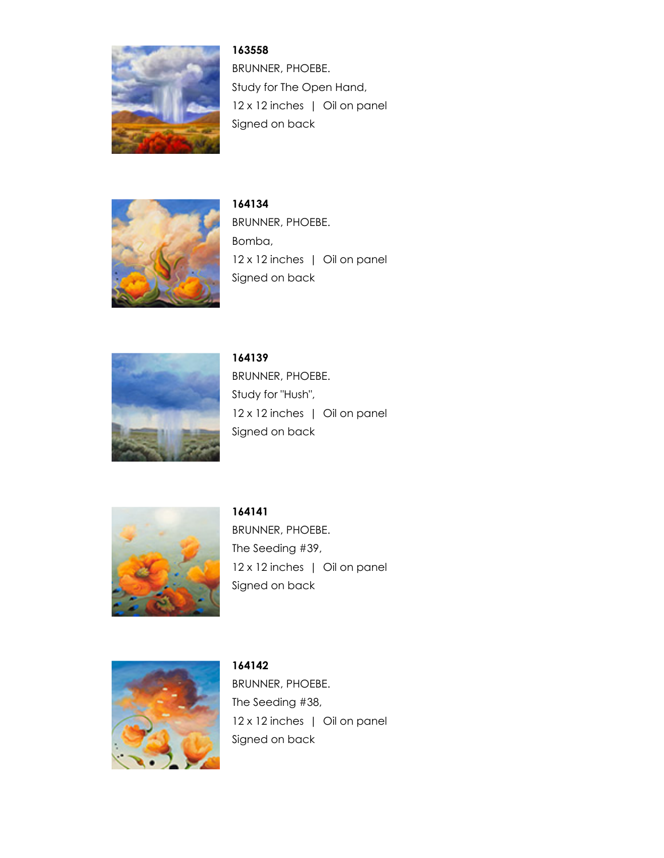

**163558** BRUNNER, PHOEBE. Study for The Open Hand, 12 x 12 inches | Oil on panel Signed on back



**164134** BRUNNER, PHOEBE. Bomba, 12 x 12 inches | Oil on panel Signed on back



**164139** BRUNNER, PHOEBE. Study for "Hush", 12 x 12 inches | Oil on panel Signed on back



**164141** BRUNNER, PHOEBE. The Seeding #39, 12 x 12 inches | Oil on panel Signed on back



**164142** BRUNNER, PHOEBE. The Seeding #38, 12 x 12 inches | Oil on panel Signed on back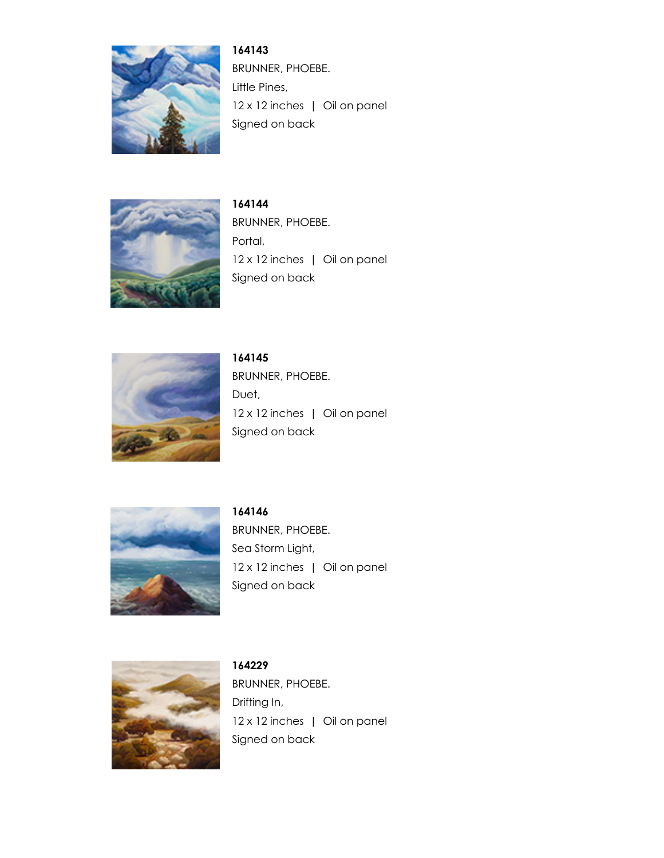

**164143** BRUNNER, PHOEBE. Little Pines, 12 x 12 inches | Oil on panel Signed on back



**164144** BRUNNER, PHOEBE. Portal, 12 x 12 inches | Oil on panel Signed on back



**164145** BRUNNER, PHOEBE. Duet, 12 x 12 inches | Oil on panel Signed on back



**164146** BRUNNER, PHOEBE. Sea Storm Light, 12 x 12 inches | Oil on panel Signed on back



**164229** BRUNNER, PHOEBE. Drifting In, 12 x 12 inches | Oil on panel Signed on back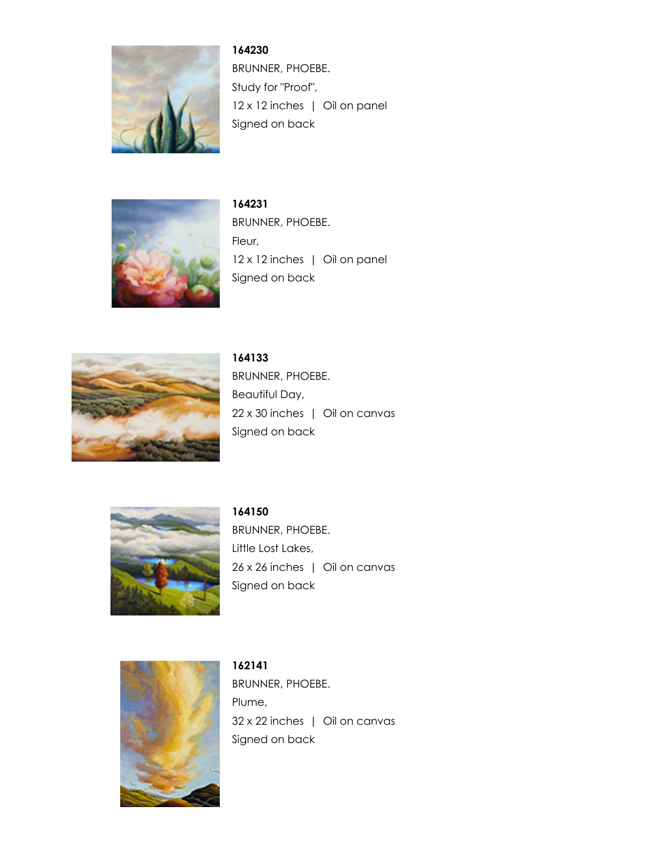

**164230** BRUNNER, PHOEBE. Study for "Proof", 12 x 12 inches | Oil on panel Signed on back



**164231** BRUNNER, PHOEBE. Fleur, 12 x 12 inches | Oil on panel Signed on back



**164133** BRUNNER, PHOEBE. Beautiful Day, 22 x 30 inches | Oil on canvas Signed on back



**164150** BRUNNER, PHOEBE. Little Lost Lakes, 26 x 26 inches | Oil on canvas Signed on back



**162141** BRUNNER, PHOEBE. Plume, 32 x 22 inches | Oil on canvas Signed on back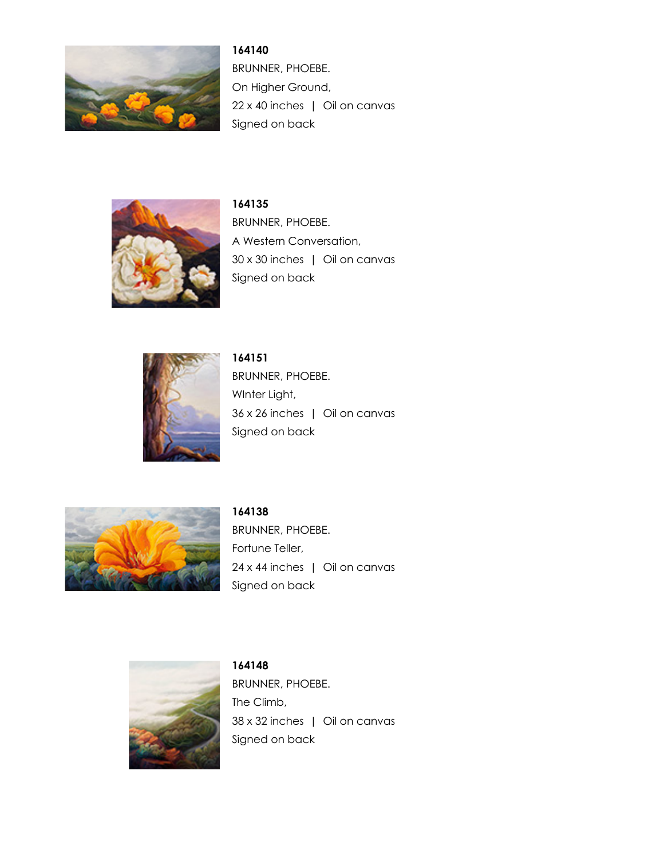

**164140** BRUNNER, PHOEBE. On Higher Ground, 22 x 40 inches | Oil on canvas Signed on back



**164135** BRUNNER, PHOEBE. A Western Conversation, 30 x 30 inches | Oil on canvas Signed on back



**164151** BRUNNER, PHOEBE. WInter Light, 36 x 26 inches | Oil on canvas Signed on back



**164138** BRUNNER, PHOEBE. Fortune Teller, 24 x 44 inches | Oil on canvas Signed on back



**164148** BRUNNER, PHOEBE. The Climb, 38 x 32 inches | Oil on canvas Signed on back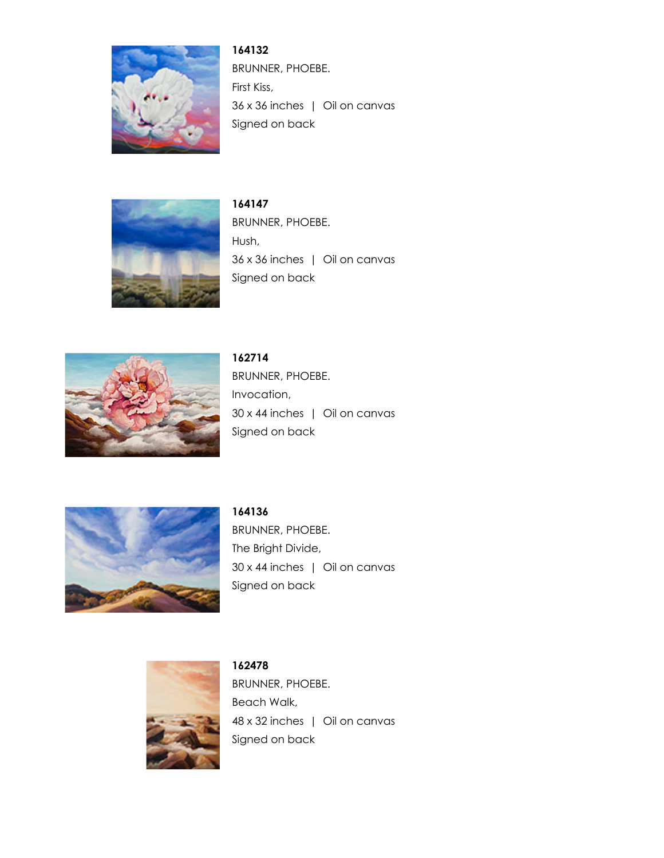

**164132** BRUNNER, PHOEBE. First Kiss, 36 x 36 inches | Oil on canvas Signed on back



**164147** BRUNNER, PHOEBE. Hush, 36 x 36 inches | Oil on canvas Signed on back



**162714** BRUNNER, PHOEBE. Invocation, 30 x 44 inches | Oil on canvas Signed on back



**164136** BRUNNER, PHOEBE. The Bright Divide, 30 x 44 inches | Oil on canvas Signed on back



**162478** BRUNNER, PHOEBE. Beach Walk, 48 x 32 inches | Oil on canvas Signed on back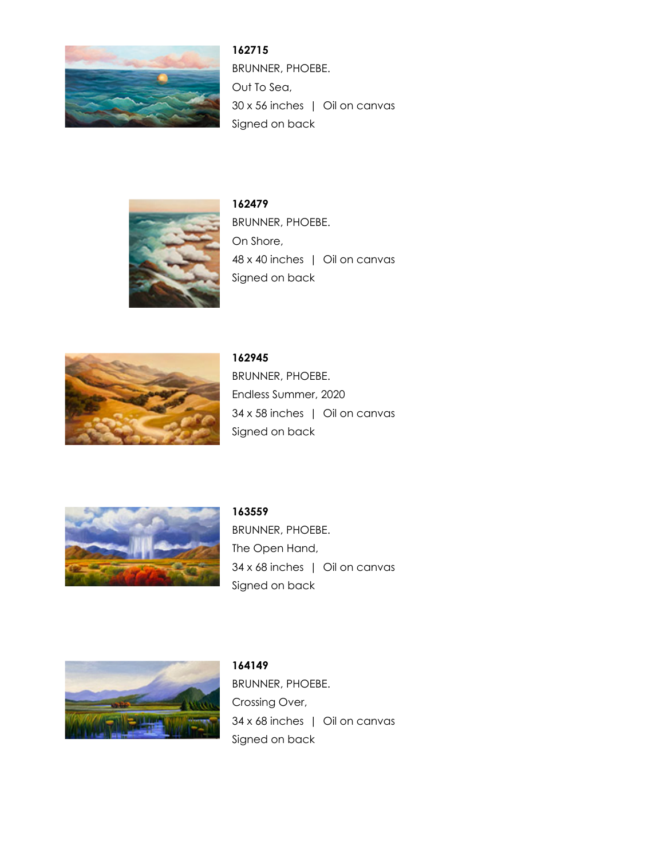

**162715** BRUNNER, PHOEBE. Out To Sea, 30 x 56 inches | Oil on canvas Signed on back



**162479** BRUNNER, PHOEBE. On Shore, 48 x 40 inches | Oil on canvas Signed on back



**162945** BRUNNER, PHOEBE. Endless Summer, 2020 34 x 58 inches | Oil on canvas Signed on back



**163559** BRUNNER, PHOEBE. The Open Hand, 34 x 68 inches | Oil on canvas Signed on back



**164149** BRUNNER, PHOEBE. Crossing Over, 34 x 68 inches | Oil on canvas Signed on back